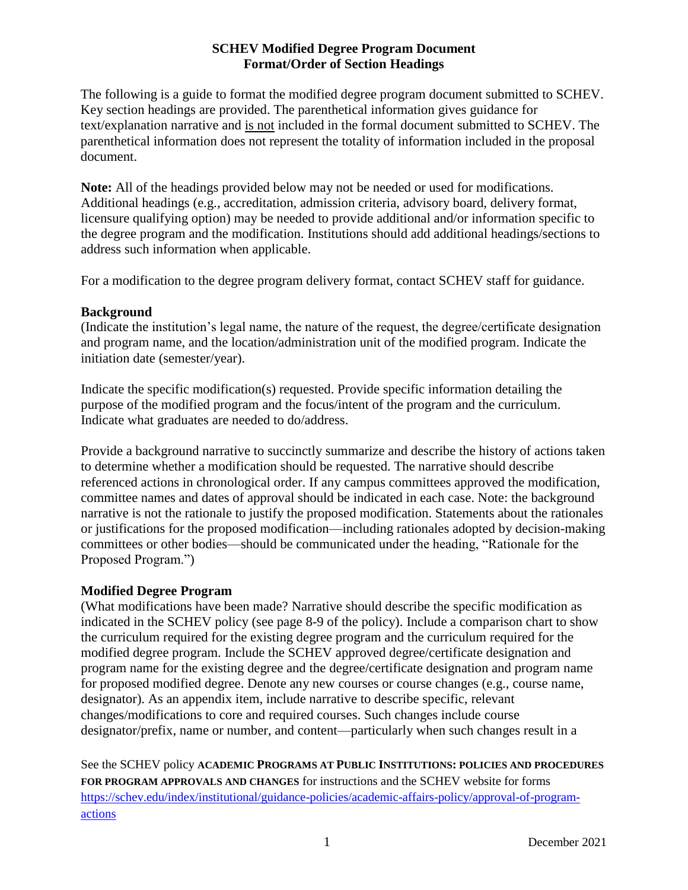The following is a guide to format the modified degree program document submitted to SCHEV. Key section headings are provided. The parenthetical information gives guidance for text/explanation narrative and is not included in the formal document submitted to SCHEV. The parenthetical information does not represent the totality of information included in the proposal document.

**Note:** All of the headings provided below may not be needed or used for modifications. Additional headings (e.g., accreditation, admission criteria, advisory board, delivery format, licensure qualifying option) may be needed to provide additional and/or information specific to the degree program and the modification. Institutions should add additional headings/sections to address such information when applicable.

For a modification to the degree program delivery format, contact SCHEV staff for guidance.

## **Background**

(Indicate the institution's legal name, the nature of the request, the degree/certificate designation and program name, and the location/administration unit of the modified program. Indicate the initiation date (semester/year).

Indicate the specific modification(s) requested. Provide specific information detailing the purpose of the modified program and the focus/intent of the program and the curriculum. Indicate what graduates are needed to do/address.

Provide a background narrative to succinctly summarize and describe the history of actions taken to determine whether a modification should be requested. The narrative should describe referenced actions in chronological order. If any campus committees approved the modification, committee names and dates of approval should be indicated in each case. Note: the background narrative is not the rationale to justify the proposed modification. Statements about the rationales or justifications for the proposed modification—including rationales adopted by decision-making committees or other bodies—should be communicated under the heading, "Rationale for the Proposed Program.")

# **Modified Degree Program**

(What modifications have been made? Narrative should describe the specific modification as indicated in the SCHEV policy (see page 8-9 of the policy). Include a comparison chart to show the curriculum required for the existing degree program and the curriculum required for the modified degree program. Include the SCHEV approved degree/certificate designation and program name for the existing degree and the degree/certificate designation and program name for proposed modified degree. Denote any new courses or course changes (e.g., course name, designator). As an appendix item, include narrative to describe specific, relevant changes/modifications to core and required courses. Such changes include course designator/prefix, name or number, and content—particularly when such changes result in a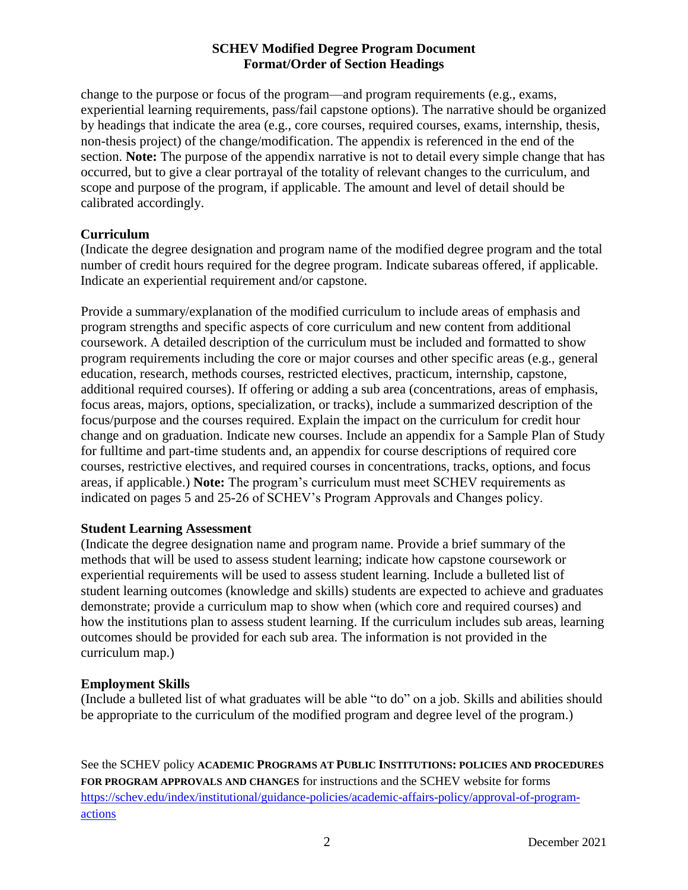change to the purpose or focus of the program—and program requirements (e.g., exams, experiential learning requirements, pass/fail capstone options). The narrative should be organized by headings that indicate the area (e.g., core courses, required courses, exams, internship, thesis, non-thesis project) of the change/modification. The appendix is referenced in the end of the section. **Note:** The purpose of the appendix narrative is not to detail every simple change that has occurred, but to give a clear portrayal of the totality of relevant changes to the curriculum, and scope and purpose of the program, if applicable. The amount and level of detail should be calibrated accordingly.

# **Curriculum**

(Indicate the degree designation and program name of the modified degree program and the total number of credit hours required for the degree program. Indicate subareas offered, if applicable. Indicate an experiential requirement and/or capstone.

Provide a summary/explanation of the modified curriculum to include areas of emphasis and program strengths and specific aspects of core curriculum and new content from additional coursework. A detailed description of the curriculum must be included and formatted to show program requirements including the core or major courses and other specific areas (e.g., general education, research, methods courses, restricted electives, practicum, internship, capstone, additional required courses). If offering or adding a sub area (concentrations, areas of emphasis, focus areas, majors, options, specialization, or tracks), include a summarized description of the focus/purpose and the courses required. Explain the impact on the curriculum for credit hour change and on graduation. Indicate new courses. Include an appendix for a Sample Plan of Study for fulltime and part-time students and, an appendix for course descriptions of required core courses, restrictive electives, and required courses in concentrations, tracks, options, and focus areas, if applicable.) **Note:** The program's curriculum must meet SCHEV requirements as indicated on pages 5 and 25-26 of SCHEV's Program Approvals and Changes policy.

## **Student Learning Assessment**

(Indicate the degree designation name and program name. Provide a brief summary of the methods that will be used to assess student learning; indicate how capstone coursework or experiential requirements will be used to assess student learning. Include a bulleted list of student learning outcomes (knowledge and skills) students are expected to achieve and graduates demonstrate; provide a curriculum map to show when (which core and required courses) and how the institutions plan to assess student learning. If the curriculum includes sub areas, learning outcomes should be provided for each sub area. The information is not provided in the curriculum map.)

# **Employment Skills**

(Include a bulleted list of what graduates will be able "to do" on a job. Skills and abilities should be appropriate to the curriculum of the modified program and degree level of the program.)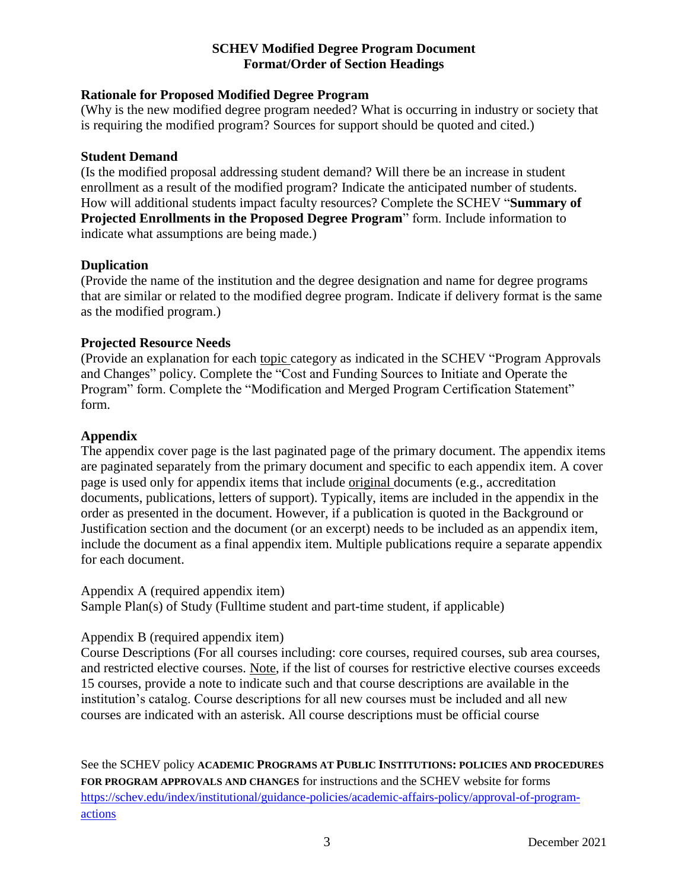# **Rationale for Proposed Modified Degree Program**

(Why is the new modified degree program needed? What is occurring in industry or society that is requiring the modified program? Sources for support should be quoted and cited.)

## **Student Demand**

(Is the modified proposal addressing student demand? Will there be an increase in student enrollment as a result of the modified program? Indicate the anticipated number of students. How will additional students impact faculty resources? Complete the SCHEV "**Summary of Projected Enrollments in the Proposed Degree Program**" form. Include information to indicate what assumptions are being made.)

#### **Duplication**

(Provide the name of the institution and the degree designation and name for degree programs that are similar or related to the modified degree program. Indicate if delivery format is the same as the modified program.)

## **Projected Resource Needs**

(Provide an explanation for each topic category as indicated in the SCHEV "Program Approvals and Changes" policy. Complete the "Cost and Funding Sources to Initiate and Operate the Program" form. Complete the "Modification and Merged Program Certification Statement" form.

## **Appendix**

The appendix cover page is the last paginated page of the primary document. The appendix items are paginated separately from the primary document and specific to each appendix item. A cover page is used only for appendix items that include original documents (e.g., accreditation documents, publications, letters of support). Typically, items are included in the appendix in the order as presented in the document. However, if a publication is quoted in the Background or Justification section and the document (or an excerpt) needs to be included as an appendix item, include the document as a final appendix item. Multiple publications require a separate appendix for each document.

Appendix A (required appendix item)

Sample Plan(s) of Study (Fulltime student and part-time student, if applicable)

#### Appendix B (required appendix item)

Course Descriptions (For all courses including: core courses, required courses, sub area courses, and restricted elective courses. Note, if the list of courses for restrictive elective courses exceeds 15 courses, provide a note to indicate such and that course descriptions are available in the institution's catalog. Course descriptions for all new courses must be included and all new courses are indicated with an asterisk. All course descriptions must be official course